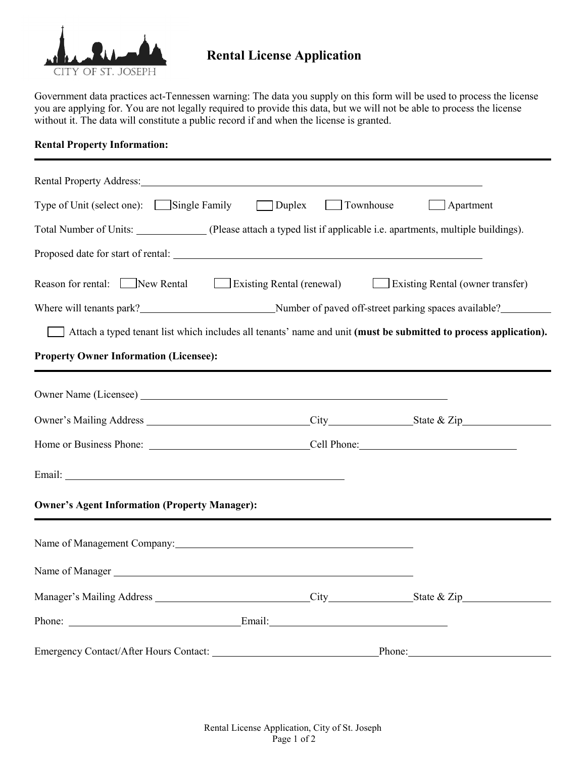

## **Rental License Application**

Government data practices act-Tennessen warning: The data you supply on this form will be used to process the license you are applying for. You are not legally required to provide this data, but we will not be able to process the license without it. The data will constitute a public record if and when the license is granted.

## **Rental Property Information:**

| Rental Property Address: Manual Property Address: Manual Property Address:                                           |                  |                  |  |
|----------------------------------------------------------------------------------------------------------------------|------------------|------------------|--|
| Type of Unit (select one): Single Family Duplex                                                                      | <b>Townhouse</b> | $\Box$ Apartment |  |
| Total Number of Units: ______________(Please attach a typed list if applicable i.e. apartments, multiple buildings). |                  |                  |  |
|                                                                                                                      |                  |                  |  |
| Reason for rental: New Rental Existing Rental (renewal) Existing Rental (owner transfer)                             |                  |                  |  |
|                                                                                                                      |                  |                  |  |
| Attach a typed tenant list which includes all tenants' name and unit (must be submitted to process application).     |                  |                  |  |
| <b>Property Owner Information (Licensee):</b>                                                                        |                  |                  |  |
|                                                                                                                      |                  |                  |  |
|                                                                                                                      |                  |                  |  |
|                                                                                                                      |                  |                  |  |
| Home or Business Phone: <u>Cell Phone:</u> Cell Phone:                                                               |                  |                  |  |
|                                                                                                                      |                  |                  |  |
| <b>Owner's Agent Information (Property Manager):</b>                                                                 |                  |                  |  |
| Name of Management Company:                                                                                          |                  |                  |  |
| Name of Manager<br><u>Name of Manager</u>                                                                            |                  |                  |  |
|                                                                                                                      |                  |                  |  |
|                                                                                                                      |                  |                  |  |
| Emergency Contact/After Hours Contact:                                                                               | Phone:           |                  |  |